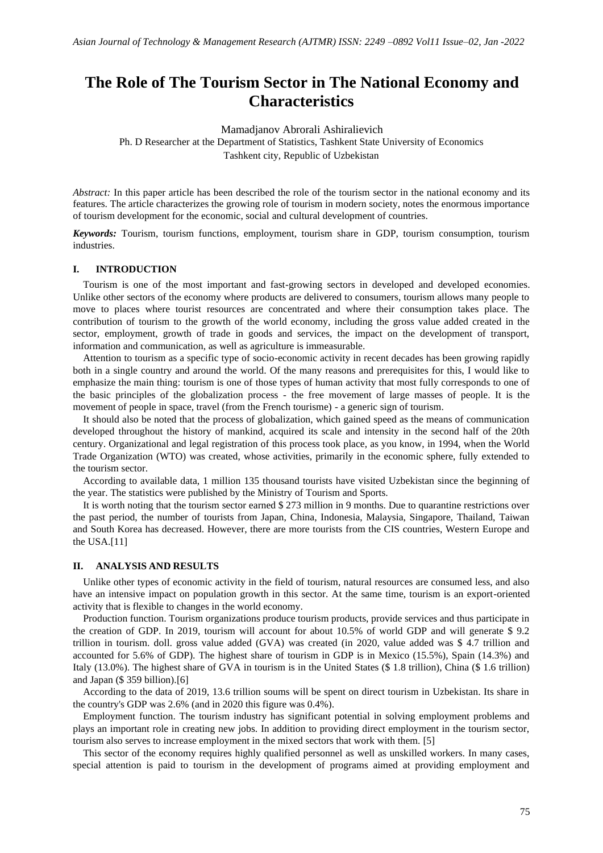## **The Role of The Tourism Sector in The National Economy and Characteristics**

Mamadjanov Abrorali Ashiralievich

Ph. D Researcher at the Department of Statistics, Tashkent State University of Economics Tashkent city, Republic of Uzbekistan

*Abstract:* In this paper article has been described the role of the tourism sector in the national economy and its features. The article characterizes the growing role of tourism in modern society, notes the enormous importance of tourism development for the economic, social and cultural development of countries.

*Keywords:* Tourism, tourism functions, employment, tourism share in GDP, tourism consumption, tourism industries.

## **I. INTRODUCTION**

Tourism is one of the most important and fast-growing sectors in developed and developed economies. Unlike other sectors of the economy where products are delivered to consumers, tourism allows many people to move to places where tourist resources are concentrated and where their consumption takes place. The contribution of tourism to the growth of the world economy, including the gross value added created in the sector, employment, growth of trade in goods and services, the impact on the development of transport, information and communication, as well as agriculture is immeasurable.

Attention to tourism as a specific type of socio-economic activity in recent decades has been growing rapidly both in a single country and around the world. Of the many reasons and prerequisites for this, I would like to emphasize the main thing: tourism is one of those types of human activity that most fully corresponds to one of the basic principles of the globalization process - the free movement of large masses of people. It is the movement of people in space, travel (from the French tourisme) - a generic sign of tourism.

It should also be noted that the process of globalization, which gained speed as the means of communication developed throughout the history of mankind, acquired its scale and intensity in the second half of the 20th century. Organizational and legal registration of this process took place, as you know, in 1994, when the World Trade Organization (WTO) was created, whose activities, primarily in the economic sphere, fully extended to the tourism sector.

According to available data, 1 million 135 thousand tourists have visited Uzbekistan since the beginning of the year. The statistics were published by the Ministry of Tourism and Sports.

It is worth noting that the tourism sector earned \$ 273 million in 9 months. Due to quarantine restrictions over the past period, the number of tourists from Japan, China, Indonesia, Malaysia, Singapore, Thailand, Taiwan and South Korea has decreased. However, there are more tourists from the CIS countries, Western Europe and the USA.[11]

## **II. ANALYSIS AND RESULTS**

Unlike other types of economic activity in the field of tourism, natural resources are consumed less, and also have an intensive impact on population growth in this sector. At the same time, tourism is an export-oriented activity that is flexible to changes in the world economy.

Production function. Tourism organizations produce tourism products, provide services and thus participate in the creation of GDP. In 2019, tourism will account for about 10.5% of world GDP and will generate \$ 9.2 trillion in tourism. doll. gross value added (GVA) was created (in 2020, value added was \$ 4.7 trillion and accounted for 5.6% of GDP). The highest share of tourism in GDP is in Mexico (15.5%), Spain (14.3%) and Italy (13.0%). The highest share of GVA in tourism is in the United States (\$ 1.8 trillion), China (\$ 1.6 trillion) and Japan (\$ 359 billion).[6]

According to the data of 2019, 13.6 trillion soums will be spent on direct tourism in Uzbekistan. Its share in the country's GDP was 2.6% (and in 2020 this figure was 0.4%).

Employment function. The tourism industry has significant potential in solving employment problems and plays an important role in creating new jobs. In addition to providing direct employment in the tourism sector, tourism also serves to increase employment in the mixed sectors that work with them. [5]

This sector of the economy requires highly qualified personnel as well as unskilled workers. In many cases, special attention is paid to tourism in the development of programs aimed at providing employment and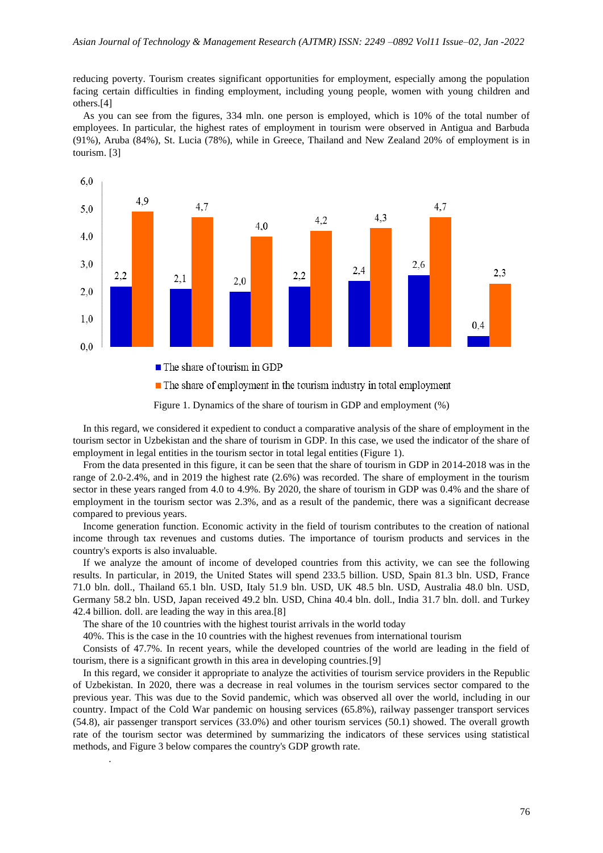reducing poverty. Tourism creates significant opportunities for employment, especially among the population facing certain difficulties in finding employment, including young people, women with young children and others.[4]

As you can see from the figures, 334 mln. one person is employed, which is 10% of the total number of employees. In particular, the highest rates of employment in tourism were observed in Antigua and Barbuda (91%), Aruba (84%), St. Lucia (78%), while in Greece, Thailand and New Zealand 20% of employment is in tourism. [3]



Figure 1. Dynamics of the share of tourism in GDP and employment (%)

In this regard, we considered it expedient to conduct a comparative analysis of the share of employment in the tourism sector in Uzbekistan and the share of tourism in GDP. In this case, we used the indicator of the share of employment in legal entities in the tourism sector in total legal entities (Figure 1).

From the data presented in this figure, it can be seen that the share of tourism in GDP in 2014-2018 was in the range of 2.0-2.4%, and in 2019 the highest rate (2.6%) was recorded. The share of employment in the tourism sector in these years ranged from 4.0 to 4.9%. By 2020, the share of tourism in GDP was 0.4% and the share of employment in the tourism sector was 2.3%, and as a result of the pandemic, there was a significant decrease compared to previous years.

Income generation function. Economic activity in the field of tourism contributes to the creation of national income through tax revenues and customs duties. The importance of tourism products and services in the country's exports is also invaluable.

If we analyze the amount of income of developed countries from this activity, we can see the following results. In particular, in 2019, the United States will spend 233.5 billion. USD, Spain 81.3 bln. USD, France 71.0 bln. doll., Thailand 65.1 bln. USD, Italy 51.9 bln. USD, UK 48.5 bln. USD, Australia 48.0 bln. USD, Germany 58.2 bln. USD, Japan received 49.2 bln. USD, China 40.4 bln. doll., India 31.7 bln. doll. and Turkey 42.4 billion. doll. are leading the way in this area.[8]

The share of the 10 countries with the highest tourist arrivals in the world today

.

40%. This is the case in the 10 countries with the highest revenues from international tourism

Consists of 47.7%. In recent years, while the developed countries of the world are leading in the field of tourism, there is a significant growth in this area in developing countries.[9]

In this regard, we consider it appropriate to analyze the activities of tourism service providers in the Republic of Uzbekistan. In 2020, there was a decrease in real volumes in the tourism services sector compared to the previous year. This was due to the Sovid pandemic, which was observed all over the world, including in our country. Impact of the Cold War pandemic on housing services (65.8%), railway passenger transport services (54.8), air passenger transport services (33.0%) and other tourism services (50.1) showed. The overall growth rate of the tourism sector was determined by summarizing the indicators of these services using statistical methods, and Figure 3 below compares the country's GDP growth rate.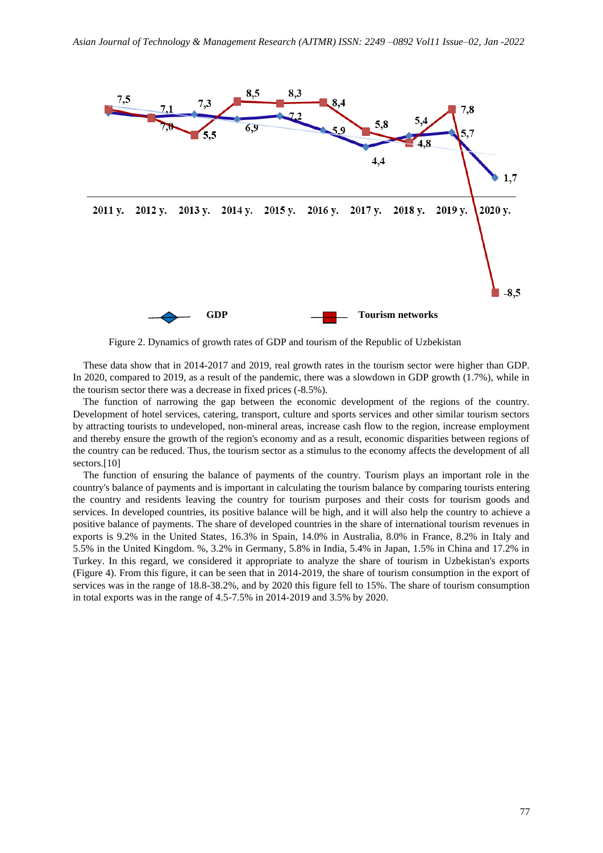

Figure 2. Dynamics of growth rates of GDP and tourism of the Republic of Uzbekistan

These data show that in 2014-2017 and 2019, real growth rates in the tourism sector were higher than GDP. In 2020, compared to 2019, as a result of the pandemic, there was a slowdown in GDP growth (1.7%), while in the tourism sector there was a decrease in fixed prices (-8.5%).

The function of narrowing the gap between the economic development of the regions of the country. Development of hotel services, catering, transport, culture and sports services and other similar tourism sectors by attracting tourists to undeveloped, non-mineral areas, increase cash flow to the region, increase employment and thereby ensure the growth of the region's economy and as a result, economic disparities between regions of the country can be reduced. Thus, the tourism sector as a stimulus to the economy affects the development of all sectors.<sup>[10]</sup>

The function of ensuring the balance of payments of the country. Tourism plays an important role in the country's balance of payments and is important in calculating the tourism balance by comparing tourists entering the country and residents leaving the country for tourism purposes and their costs for tourism goods and services. In developed countries, its positive balance will be high, and it will also help the country to achieve a positive balance of payments. The share of developed countries in the share of international tourism revenues in exports is 9.2% in the United States, 16.3% in Spain, 14.0% in Australia, 8.0% in France, 8.2% in Italy and 5.5% in the United Kingdom. %, 3.2% in Germany, 5.8% in India, 5.4% in Japan, 1.5% in China and 17.2% in Turkey. In this regard, we considered it appropriate to analyze the share of tourism in Uzbekistan's exports (Figure 4). From this figure, it can be seen that in 2014-2019, the share of tourism consumption in the export of services was in the range of 18.8-38.2%, and by 2020 this figure fell to 15%. The share of tourism consumption in total exports was in the range of 4.5-7.5% in 2014-2019 and 3.5% by 2020.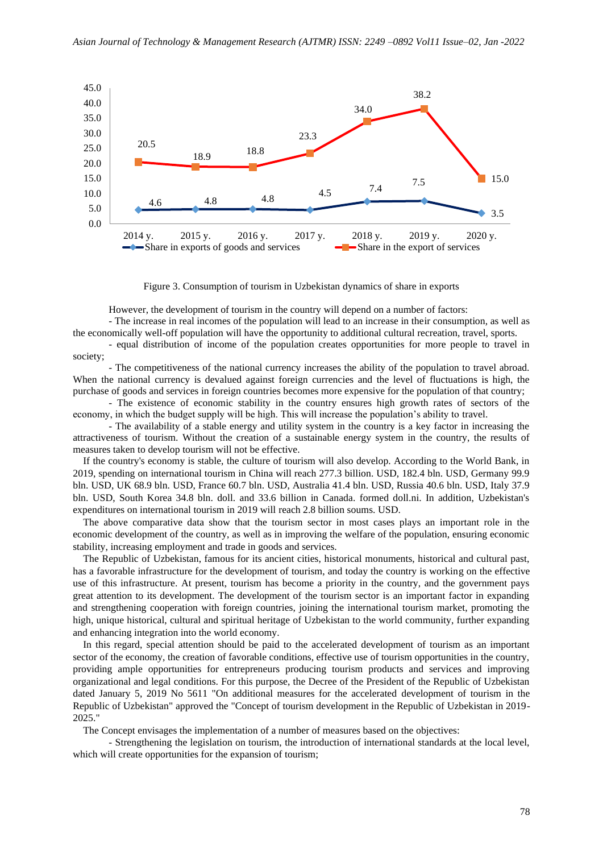

Figure 3. Consumption of tourism in Uzbekistan dynamics of share in exports

However, the development of tourism in the country will depend on a number of factors:

- The increase in real incomes of the population will lead to an increase in their consumption, as well as the economically well-off population will have the opportunity to additional cultural recreation, travel, sports.

- equal distribution of income of the population creates opportunities for more people to travel in society;

- The competitiveness of the national currency increases the ability of the population to travel abroad. When the national currency is devalued against foreign currencies and the level of fluctuations is high, the purchase of goods and services in foreign countries becomes more expensive for the population of that country;

- The existence of economic stability in the country ensures high growth rates of sectors of the economy, in which the budget supply will be high. This will increase the population's ability to travel.

- The availability of a stable energy and utility system in the country is a key factor in increasing the attractiveness of tourism. Without the creation of a sustainable energy system in the country, the results of measures taken to develop tourism will not be effective.

If the country's economy is stable, the culture of tourism will also develop. According to the World Bank, in 2019, spending on international tourism in China will reach 277.3 billion. USD, 182.4 bln. USD, Germany 99.9 bln. USD, UK 68.9 bln. USD, France 60.7 bln. USD, Australia 41.4 bln. USD, Russia 40.6 bln. USD, Italy 37.9 bln. USD, South Korea 34.8 bln. doll. and 33.6 billion in Canada. formed doll.ni. In addition, Uzbekistan's expenditures on international tourism in 2019 will reach 2.8 billion soums. USD.

The above comparative data show that the tourism sector in most cases plays an important role in the economic development of the country, as well as in improving the welfare of the population, ensuring economic stability, increasing employment and trade in goods and services.

The Republic of Uzbekistan, famous for its ancient cities, historical monuments, historical and cultural past, has a favorable infrastructure for the development of tourism, and today the country is working on the effective use of this infrastructure. At present, tourism has become a priority in the country, and the government pays great attention to its development. The development of the tourism sector is an important factor in expanding and strengthening cooperation with foreign countries, joining the international tourism market, promoting the high, unique historical, cultural and spiritual heritage of Uzbekistan to the world community, further expanding and enhancing integration into the world economy.

In this regard, special attention should be paid to the accelerated development of tourism as an important sector of the economy, the creation of favorable conditions, effective use of tourism opportunities in the country, providing ample opportunities for entrepreneurs producing tourism products and services and improving organizational and legal conditions. For this purpose, the Decree of the President of the Republic of Uzbekistan dated January 5, 2019 No 5611 "On additional measures for the accelerated development of tourism in the Republic of Uzbekistan" approved the "Concept of tourism development in the Republic of Uzbekistan in 2019- 2025."

The Concept envisages the implementation of a number of measures based on the objectives:

- Strengthening the legislation on tourism, the introduction of international standards at the local level, which will create opportunities for the expansion of tourism;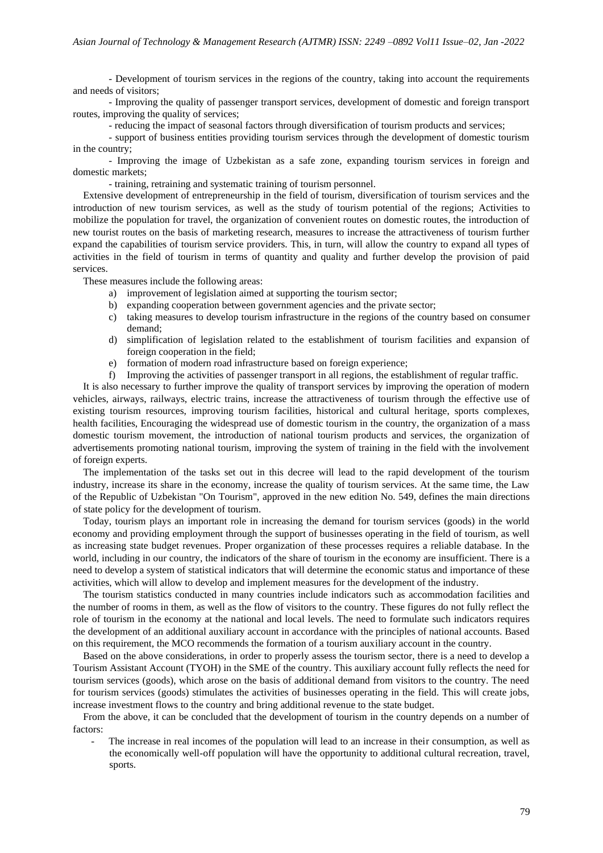- Development of tourism services in the regions of the country, taking into account the requirements and needs of visitors;

- Improving the quality of passenger transport services, development of domestic and foreign transport routes, improving the quality of services;

- reducing the impact of seasonal factors through diversification of tourism products and services;

- support of business entities providing tourism services through the development of domestic tourism in the country;

- Improving the image of Uzbekistan as a safe zone, expanding tourism services in foreign and domestic markets;

- training, retraining and systematic training of tourism personnel.

Extensive development of entrepreneurship in the field of tourism, diversification of tourism services and the introduction of new tourism services, as well as the study of tourism potential of the regions; Activities to mobilize the population for travel, the organization of convenient routes on domestic routes, the introduction of new tourist routes on the basis of marketing research, measures to increase the attractiveness of tourism further expand the capabilities of tourism service providers. This, in turn, will allow the country to expand all types of activities in the field of tourism in terms of quantity and quality and further develop the provision of paid services.

These measures include the following areas:

- a) improvement of legislation aimed at supporting the tourism sector;
- b) expanding cooperation between government agencies and the private sector;
- c) taking measures to develop tourism infrastructure in the regions of the country based on consumer demand;
- d) simplification of legislation related to the establishment of tourism facilities and expansion of foreign cooperation in the field;
- e) formation of modern road infrastructure based on foreign experience;
- f) Improving the activities of passenger transport in all regions, the establishment of regular traffic.

It is also necessary to further improve the quality of transport services by improving the operation of modern vehicles, airways, railways, electric trains, increase the attractiveness of tourism through the effective use of existing tourism resources, improving tourism facilities, historical and cultural heritage, sports complexes, health facilities, Encouraging the widespread use of domestic tourism in the country, the organization of a mass domestic tourism movement, the introduction of national tourism products and services, the organization of advertisements promoting national tourism, improving the system of training in the field with the involvement of foreign experts.

The implementation of the tasks set out in this decree will lead to the rapid development of the tourism industry, increase its share in the economy, increase the quality of tourism services. At the same time, the Law of the Republic of Uzbekistan "On Tourism", approved in the new edition No. 549, defines the main directions of state policy for the development of tourism.

Today, tourism plays an important role in increasing the demand for tourism services (goods) in the world economy and providing employment through the support of businesses operating in the field of tourism, as well as increasing state budget revenues. Proper organization of these processes requires a reliable database. In the world, including in our country, the indicators of the share of tourism in the economy are insufficient. There is a need to develop a system of statistical indicators that will determine the economic status and importance of these activities, which will allow to develop and implement measures for the development of the industry.

The tourism statistics conducted in many countries include indicators such as accommodation facilities and the number of rooms in them, as well as the flow of visitors to the country. These figures do not fully reflect the role of tourism in the economy at the national and local levels. The need to formulate such indicators requires the development of an additional auxiliary account in accordance with the principles of national accounts. Based on this requirement, the MCO recommends the formation of a tourism auxiliary account in the country.

Based on the above considerations, in order to properly assess the tourism sector, there is a need to develop a Tourism Assistant Account (TYOH) in the SME of the country. This auxiliary account fully reflects the need for tourism services (goods), which arose on the basis of additional demand from visitors to the country. The need for tourism services (goods) stimulates the activities of businesses operating in the field. This will create jobs, increase investment flows to the country and bring additional revenue to the state budget.

From the above, it can be concluded that the development of tourism in the country depends on a number of factors:

The increase in real incomes of the population will lead to an increase in their consumption, as well as the economically well-off population will have the opportunity to additional cultural recreation, travel, sports.